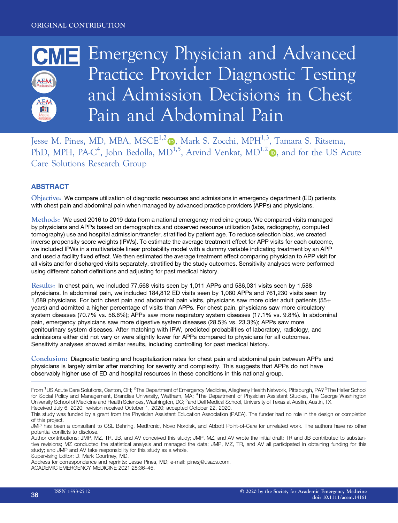

Jesse M. Pines, MD, MBA, MSCE<sup>1,2</sup> D, Mark S. Zocchi, MPH<sup>1,3</sup>, Tamara S. Ritsema, PhD, MPH, PA-C<sup>4</sup>, John Bedolla, MD<sup>[1](https://orcid.org/0000-0003-2292-3052),5</sup>, Arvind Venkat, MD<sup>1,[2](https://orcid.org/0000-0003-0439-0483)</sup> $\bullet$ , and for the US Acute Care Solutions Research Group

# ABSTRACT

Objective: We compare utilization of diagnostic resources and admissions in emergency department (ED) patients with chest pain and abdominal pain when managed by advanced practice providers (APPs) and physicians.

Methods: We used 2016 to 2019 data from a national emergency medicine group. We compared visits managed by physicians and APPs based on demographics and observed resource utilization (labs, radiography, computed tomography) use and hospital admission/transfer, stratified by patient age. To reduce selection bias, we created inverse propensity score weights (IPWs). To estimate the average treatment effect for APP visits for each outcome, we included IPWs in a multivariable linear probability model with a dummy variable indicating treatment by an APP and used a facility fixed effect. We then estimated the average treatment effect comparing physician to APP visit for all visits and for discharged visits separately, stratified by the study outcomes. Sensitivity analyses were performed using different cohort definitions and adjusting for past medical history.

Results: In chest pain, we included 77,568 visits seen by 1,011 APPs and 586,031 visits seen by 1,588 physicians. In abdominal pain, we included 184,812 ED visits seen by 1,080 APPs and 761,230 visits seen by 1,689 physicians. For both chest pain and abdominal pain visits, physicians saw more older adult patients (55+ years) and admitted a higher percentage of visits than APPs. For chest pain, physicians saw more circulatory system diseases (70.7% vs. 58.6%); APPs saw more respiratory system diseases (17.1% vs. 9.8%). In abdominal pain, emergency physicians saw more digestive system diseases (28.5% vs. 23.3%); APPs saw more genitourinary system diseases. After matching with IPW, predicted probabilities of laboratory, radiology, and admissions either did not vary or were slightly lower for APPs compared to physicians for all outcomes. Sensitivity analyses showed similar results, including controlling for past medical history.

Conclusion: Diagnostic testing and hospitalization rates for chest pain and abdominal pain between APPs and physicians is largely similar after matching for severity and complexity. This suggests that APPs do not have observably higher use of ED and hospital resources in these conditions in this national group.

Supervising Editor: D. Mark Courtney, MD.

From <sup>1</sup>US Acute Care Solutions, Canton, OH; <sup>2</sup>The Department of Emergency Medicine, Allegheny Health Network, Pittsburgh, PA? <sup>3</sup>The Heller School for Social Policy and Management, Brandies University, Waltham, MA; <sup>4</sup>The Department of Physician Assistant Studies, The George Washington University School of Medicine and Health Sciences, Washington, DC; <sup>5</sup>and Dell Medical School, University of Texas at Austin, Austin, TX. Received July 6, 2020; revision received October 1, 2020; accepted October 22, 2020.

This study was funded by a grant from the Physician Assistant Education Association (PAEA). The funder had no role in the design or completion of this project.

JMP has been a consultant to CSL Behring, Medtronic, Novo Nordisk, and Abbott Point-of-Care for unrelated work. The authors have no other potential conflicts to disclose.

Author contributions: JMP, MZ, TR, JB, and AV conceived this study; JMP, MZ, and AV wrote the initial draft; TR and JB contributed to substantive revisions; MZ conducted the statistical analysis and managed the data; JMP, MZ, TR, and AV all participated in obtaining funding for this study; and JMP and AV take responsibility for this study as a whole.

Address for correspondence and reprints: Jesse Pines, MD; e-mail: [pinesj@usacs.com](mailto:).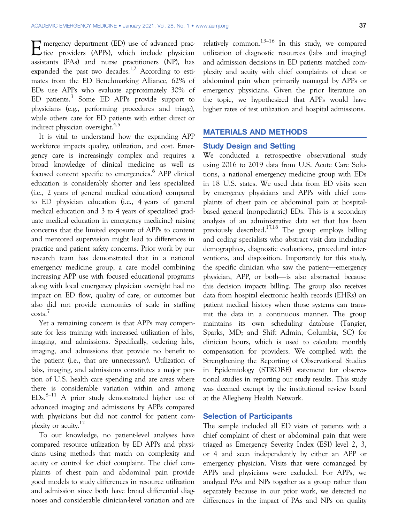Emergency department (ED) use of advanced prac-<br>
tice providers (APPs), which include physician assistants (PAs) and nurse practitioners (NP), has expanded the past two decades.<sup>1,2</sup> According to estimates from the ED Benchmarking Alliance, 62% of EDs use APPs who evaluate approximately 30% of ED patients.<sup>3</sup> Some ED APPs provide support to physicians (e.g., performing procedures and triage), while others care for ED patients with either direct or indirect physician oversight.<sup>4,5</sup>

It is vital to understand how the expanding APP workforce impacts quality, utilization, and cost. Emergency care is increasingly complex and requires a broad knowledge of clinical medicine as well as focused content specific to emergencies.<sup>6</sup> APP clinical education is considerably shorter and less specialized (i.e., 2 years of general medical education) compared to ED physician education (i.e., 4 years of general medical education and 3 to 4 years of specialized graduate medical education in emergency medicine) raising concerns that the limited exposure of APPs to content and mentored supervision might lead to differences in practice and patient safety concerns. Prior work by our research team has demonstrated that in a national emergency medicine group, a care model combining increasing APP use with focused educational programs along with local emergency physician oversight had no impact on ED flow, quality of care, or outcomes but also did not provide economies of scale in staffing costs.<sup>7</sup>

Yet a remaining concern is that APPs may compensate for less training with increased utilization of labs, imaging, and admissions. Specifically, ordering labs, imaging, and admissions that provide no benefit to the patient (i.e., that are unnecessary). Utilization of labs, imaging, and admissions constitutes a major portion of U.S. health care spending and are areas where there is considerable variation within and among  $EDs.<sup>8–11</sup>$  A prior study demonstrated higher use of advanced imaging and admissions by APPs compared with physicians but did not control for patient complexity or acuity.<sup>12</sup>

To our knowledge, no patient-level analyses have compared resource utilization by ED APPs and physicians using methods that match on complexity and acuity or control for chief complaint. The chief complaints of chest pain and abdominal pain provide good models to study differences in resource utilization and admission since both have broad differential diagnoses and considerable clinician-level variation and are relatively common.<sup>13–16</sup> In this study, we compared utilization of diagnostic resources (labs and imaging) and admission decisions in ED patients matched complexity and acuity with chief complaints of chest or abdominal pain when primarily managed by APPs or emergency physicians. Given the prior literature on the topic, we hypothesized that APPs would have higher rates of test utilization and hospital admissions.

# MATERIALS AND METHODS

## Study Design and Setting

We conducted a retrospective observational study using 2016 to 2019 data from U.S. Acute Care Solutions, a national emergency medicine group with EDs in 18 U.S. states. We used data from ED visits seen by emergency physicians and APPs with chief complaints of chest pain or abdominal pain at hospitalbased general (nonpediatric) EDs. This is a secondary analysis of an administrative data set that has been previously described.<sup>17,18</sup> The group employs billing and coding specialists who abstract visit data including demographics, diagnostic evaluations, procedural interventions, and disposition. Importantly for this study, the specific clinician who saw the patient—emergency physician, APP, or both—is also abstracted because this decision impacts billing. The group also receives data from hospital electronic health records (EHRs) on patient medical history when those systems can transmit the data in a continuous manner. The group maintains its own scheduling database (Tangier, Sparks, MD; and Shift Admin, Columbia, SC) for clinician hours, which is used to calculate monthly compensation for providers. We complied with the Strengthening the Reporting of Observational Studies in Epidemiology (STROBE) statement for observational studies in reporting our study results. This study was deemed exempt by the institutional review board at the Allegheny Health Network.

## Selection of Participants

The sample included all ED visits of patients with a chief complaint of chest or abdominal pain that were triaged as Emergency Severity Index (ESI) level 2, 3, or 4 and seen independently by either an APP or emergency physician. Visits that were comanaged by APPs and physicians were excluded. For APPs, we analyzed PAs and NPs together as a group rather than separately because in our prior work, we detected no differences in the impact of PAs and NPs on quality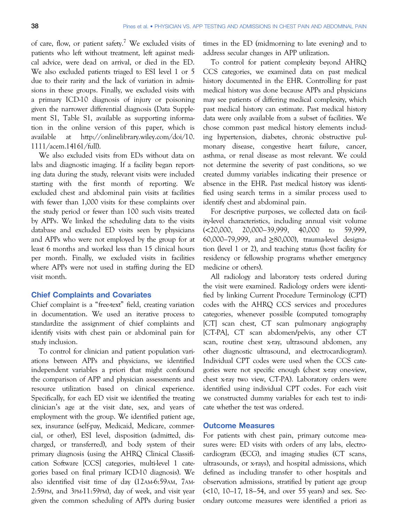of care, flow, or patient safety.<sup>7</sup> We excluded visits of patients who left without treatment, left against medical advice, were dead on arrival, or died in the ED. We also excluded patients triaged to ESI level 1 or 5 due to their rarity and the lack of variation in admissions in these groups. Finally, we excluded visits with a primary ICD-10 diagnosis of injury or poisoning given the narrower differential diagnosis (Data Supplement S1, Table S1, available as supporting information in the online version of this paper, which is available at [http://onlinelibrary.wiley.com/doi/10.](http://onlinelibrary.wiley.com/doi/10.1111/acem.14161/full) [1111/acem.14161/full](http://onlinelibrary.wiley.com/doi/10.1111/acem.14161/full)).

We also excluded visits from EDs without data on labs and diagnostic imaging. If a facility began reporting data during the study, relevant visits were included starting with the first month of reporting. We excluded chest and abdominal pain visits at facilities with fewer than 1,000 visits for these complaints over the study period or fewer than 100 such visits treated by APPs. We linked the scheduling data to the visits database and excluded ED visits seen by physicians and APPs who were not employed by the group for at least 6 months and worked less than 15 clinical hours per month. Finally, we excluded visits in facilities where APPs were not used in staffing during the ED visit month.

# Chief Complaints and Covariates

Chief complaint is a "free-text" field, creating variation in documentation. We used an iterative process to standardize the assignment of chief complaints and identify visits with chest pain or abdominal pain for study inclusion.

To control for clinician and patient population variations between APPs and physicians, we identified independent variables a priori that might confound the comparison of APP and physician assessments and resource utilization based on clinical experience. Specifically, for each ED visit we identified the treating clinician's age at the visit date, sex, and years of employment with the group. We identified patient age, sex, insurance (self-pay, Medicaid, Medicare, commercial, or other), ESI level, disposition (admitted, discharged, or transferred), and body system of their primary diagnosis (using the AHRQ Clinical Classification Software [CCS] categories, multi-level 1 categories based on final primary ICD-10 diagnosis). We also identified visit time of day (12AM-6:59AM, 7AM-2:59PM, and 3PM-11:59PM), day of week, and visit year given the common scheduling of APPs during busier

times in the ED (midmorning to late evening) and to address secular changes in APP utilization.

To control for patient complexity beyond AHRQ CCS categories, we examined data on past medical history documented in the EHR. Controlling for past medical history was done because APPs and physicians may see patients of differing medical complexity, which past medical history can estimate. Past medical history data were only available from a subset of facilities. We chose common past medical history elements including hypertension, diabetes, chronic obstructive pulmonary disease, congestive heart failure, cancer, asthma, or renal disease as most relevant. We could not determine the severity of past conditions, so we created dummy variables indicating their presence or absence in the EHR. Past medical history was identified using search terms in a similar process used to identify chest and abdominal pain.

For descriptive purposes, we collected data on facility-level characteristics, including annual visit volume (<20,000, 20,000–39,999, 40,000 to 59,999, 60,000–79,999, and ≥80,000), trauma-level designation (level 1 or 2), and teaching status (host facility for residency or fellowship programs whether emergency medicine or others).

All radiology and laboratory tests ordered during the visit were examined. Radiology orders were identified by linking Current Procedure Terminology (CPT) codes with the AHRQ CCS services and procedures categories, whenever possible (computed tomography [CT] scan chest, CT scan pulmonary angiography [CT-PA], CT scan abdomen/pelvis, any other CT scan, routine chest x-ray, ultrasound abdomen, any other diagnostic ultrasound, and electrocardiogram). Individual CPT codes were used when the CCS categories were not specific enough (chest x-ray one-view, chest x-ray two view, CT-PA). Laboratory orders were identified using individual CPT codes. For each visit we constructed dummy variables for each test to indicate whether the test was ordered.

## Outcome Measures

For patients with chest pain, primary outcome measures were: ED visits with orders of any labs, electrocardiogram (ECG), and imaging studies (CT scans, ultrasounds, or x-rays), and hospital admissions, which defined as including transfer to other hospitals and observation admissions, stratified by patient age group (<10, 10–17, 18–54, and over 55 years) and sex. Secondary outcome measures were identified a priori as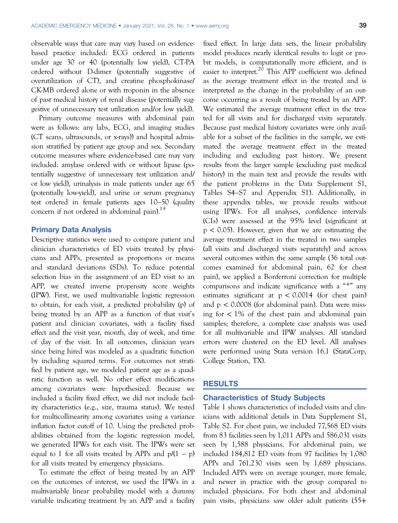observable ways that care may vary based on evidencebased practice included: ECG ordered in patients under age 30 or 40 (potentially low yield), CT-PA ordered without D-dimer (potentially suggestive of overutilization of CT), and creatine phosphokinase/ CK-MB ordered alone or with troponin in the absence of past medical history of renal disease (potentially suggestive of unnecessary test utilization and/or low yield).

Primary outcome measures with abdominal pain were as follows: any labs, ECG, and imaging studies (CT scans, ultrasounds, or x-rays)) and hospital admission stratified by patient age group and sex. Secondary outcome measures where evidence-based care may vary included: amylase ordered with or without lipase (potentially suggestive of unnecessary test utilization and/ or low yield), urinalysis in male patients under age 65 (potentially low-yield), and urine or serum pregnancy test ordered in female patients ages 10–50 (quality concern if not ordered in abdominal pain).<sup>19</sup>

## Primary Data Analysis

Descriptive statistics were used to compare patient and clinician characteristics of ED visits treated by physicians and APPs, presented as proportions or means and standard deviations (SDs). To reduce potential selection bias in the assignment of an ED visit to an APP, we created inverse propensity score weights (IPW). First, we used multivariable logistic regression to obtain, for each visit, a predicted probability (p) of being treated by an APP as a function of that visit's patient and clinician covariates, with a facility fixed effect and the visit year, month, day of week, and time of day of the visit: In all outcomes, clinician years since being hired was modeled as a quadratic function by including squared terms. For outcomes not stratified by patient age, we modeled patient age as a quadratic function as well. No other effect modifications among covariates were hypothesized. Because we included a facility fixed effect, we did not include facility characteristics (e.g., size, trauma status). We tested for multicollinearity among covariates using a variance inflation factor cutoff of 10. Using the predicted probabilities obtained from the logistic regression model, we generated IPWs for each visit. The IPWs were set equal to 1 for all visits treated by APPs and  $p/(1 - p)$ for all visits treated by emergency physicians.

To estimate the effect of being treated by an APP on the outcomes of interest, we used the IPWs in a multivariable linear probability model with a dummy variable indicating treatment by an APP and a facility fixed effect. In large data sets, the linear probability model produces nearly identical results to logit or probit models, is computationally more efficient, and is easier to interpret.<sup>20</sup> This APP coefficient was defined as the average treatment effect in the treated and is interpreted as the change in the probability of an outcome occurring as a result of being treated by an APP. We estimated the average treatment effect in the treated for all visits and for discharged visits separately. Because past medical history covariates were only available for a subset of the facilities in the sample, we estimated the average treatment effect in the treated including and excluding past history. We present results from the larger sample (excluding past medical history) in the main text and provide the results with the patient problems in the Data Supplement S1, Tables S4–S7 and Appendix S1). Additionally, in these appendix tables, we provide results without using IPWs. For all analyses, confidence intervals (CIs) were assessed at the 95% level (significant at  $p < 0.05$ ). However, given that we are estimating the average treatment effect in the treated in two samples (all visits and discharged visits separately) and across several outcomes within the same sample (36 total outcomes examined for abdominal pain, 62 for chest pain), we applied a Bonferroni correction for multiple comparisons and indicate significance with a "\*" any estimates significant at  $p < 0.0014$  (for chest pain) and  $p < 0.0008$  (for abdominal pain). Data were missing for < 1% of the chest pain and abdominal pain samples; therefore, a complete case analysis was used for all multivariable and IPW analyses. All standard errors were clustered on the ED level. All analyses were performed using Stata version 16.1 (StataCorp, College Station, TX).

# RESULTS

## Characteristics of Study Subjects

Table 1 shows characteristics of included visits and clinicians with additional details in Data Supplement S1, Table S2. For chest pain, we included 77,568 ED visits from 83 facilities seen by 1,011 APPs and 586,031 visits seen by 1,588 physicians. For abdominal pain, we included 184,812 ED visits from 97 facilities by 1,080 APPs and 761,230 visits seen by 1,689 physicians. Included APPs were on average younger, more female, and newer in practice with the group compared to included physicians. For both chest and abdominal pain visits, physicians saw older adult patients (55+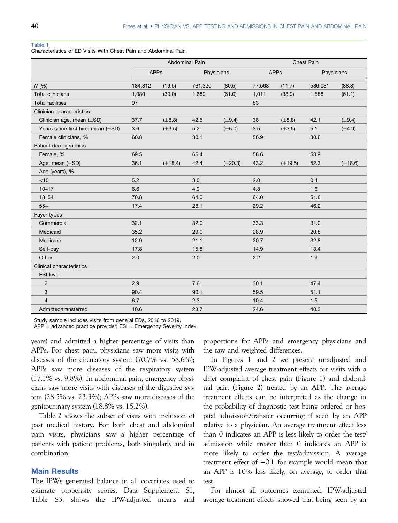#### Table 1

Characteristics of ED Visits With Chest Pain and Abdominal Pain

|                                    | Abdominal Pain |              |            |              | Chest Pain  |              |            |              |
|------------------------------------|----------------|--------------|------------|--------------|-------------|--------------|------------|--------------|
|                                    | <b>APPs</b>    |              | Physicians |              | <b>APPs</b> |              | Physicians |              |
| N(%                                | 184,812        | (19.5)       | 761,320    | (80.5)       | 77,568      | (11.7)       | 586,031    | (88.3)       |
| <b>Total clinicians</b>            | 1,080          | (39.0)       | 1,689      | (61.0)       | 1,011       | (38.9)       | 1,588      | (61.1)       |
| <b>Total facilities</b>            | 97             |              |            |              | 83          |              |            |              |
| Clinician characteristics          |                |              |            |              |             |              |            |              |
| Clinician age, mean $(\pm SD)$     | 37.7           | $(\pm 8.8)$  | 42.5       | $(\pm 9.4)$  | 38          | $(\pm 8.8)$  | 42.1       | $(\pm 9.4)$  |
| Years since first hire, mean (±SD) | 3.6            | $(\pm 3.5)$  | 5.2        | $(\pm 5.0)$  | 3.5         | $(\pm 3.5)$  | 5.1        | $(\pm 4.9)$  |
| Female clinicians, %               | 60.8           |              | 30.1       |              | 56.9        |              | 30.8       |              |
| Patient demographics               |                |              |            |              |             |              |            |              |
| Female, %                          | 69.5           |              | 65.4       |              | 58.6        |              | 53.9       |              |
| Age, mean (±SD)                    | 36.1           | $(\pm 18.4)$ | 42.4       | $(\pm 20.3)$ | 43.2        | $(\pm 19.5)$ | 52.3       | $(\pm 18.6)$ |
| Age (years), %                     |                |              |            |              |             |              |            |              |
| $<$ 10                             | 5.2            |              | 3.0        |              | 2.0         |              | 0.4        |              |
| $10 - 17$                          | 6.6            |              | 4.9        |              | 4.8         |              | 1.6        |              |
| $18 - 54$                          | 70.8           |              | 64.0       |              | 64.0        |              | 51.8       |              |
| $55+$                              | 17.4           |              | 28.1       |              | 29.2        |              | 46.2       |              |
| Payer types                        |                |              |            |              |             |              |            |              |
| Commercial                         | 32.1           |              | 32.0       |              | 33.3        |              | 31.0       |              |
| Medicaid                           | 35.2           |              | 29.0       |              | 28.9        |              | 20.8       |              |
| Medicare                           | 12.9           |              | 21.1       |              | 20.7        |              | 32.8       |              |
| Self-pay                           | 17.8           |              | 15.8       |              | 14.9        |              | 13.4       |              |
| Other                              | 2.0            |              | 2.0        |              | 2.2         |              | 1.9        |              |
| <b>Clinical characteristics</b>    |                |              |            |              |             |              |            |              |
| <b>ESI</b> level                   |                |              |            |              |             |              |            |              |
| $\overline{c}$                     | 2.9            |              | 7.6        |              | 30.1        |              | 47.4       |              |
| 3                                  | 90.4           |              | 90.1       |              | 59.5        |              | 51.1       |              |
| $\overline{4}$                     | 6.7            |              | 2.3        |              | 10.4        |              | 1.5        |              |
| Admitted/transferred               | 10.6           |              | 23.7       |              | 24.6        |              | 40.3       |              |

Study sample includes visits from general EDs, 2016 to 2019.

 $APP = advanced$  practice provider;  $ESI = Energy$  Severity Index.

years) and admitted a higher percentage of visits than APPs. For chest pain, physicians saw more visits with diseases of the circulatory system (70.7% vs. 58.6%); APPs saw more diseases of the respiratory system (17.1% vs. 9.8%). In abdominal pain, emergency physicians saw more visits with diseases of the digestive system (28.5% vs. 23.3%); APPs saw more diseases of the genitourinary system (18.8% vs. 15.2%).

Table 2 shows the subset of visits with inclusion of past medical history. For both chest and abdominal pain visits, physicians saw a higher percentage of patients with patient problems, both singularly and in combination.

# Main Results

The IPWs generated balance in all covariates used to estimate propensity scores. Data Supplement S1, Table S3, shows the IPW-adjusted means and proportions for APPs and emergency physicians and the raw and weighted differences.

In Figures 1 and 2 we present unadjusted and IPW-adjusted average treatment effects for visits with a chief complaint of chest pain (Figure 1) and abdominal pain (Figure 2) treated by an APP. The average treatment effects can be interpreted as the change in the probability of diagnostic test being ordered or hospital admission/transfer occurring if seen by an APP relative to a physician. An average treatment effect less than 0 indicates an APP is less likely to order the test/ admission while greater than 0 indicates an APP is more likely to order the test/admission. A average treatment effect of −0.1 for example would mean that an APP is 10% less likely, on average, to order that test.

For almost all outcomes examined, IPW-adjusted average treatment effects showed that being seen by an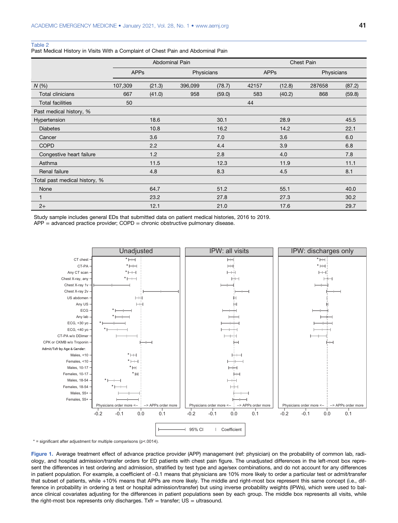### Table 2

Past Medical History in Visits With a Complaint of Chest Pain and Abdominal Pain

|                               |             | Abdominal Pain |            |        |             | Chest Pain |            |        |  |  |
|-------------------------------|-------------|----------------|------------|--------|-------------|------------|------------|--------|--|--|
|                               | <b>APPs</b> |                | Physicians |        | <b>APPs</b> |            | Physicians |        |  |  |
| N(%)                          | 107,309     | (21.3)         | 396,099    | (78.7) | 42157       | (12.8)     | 287658     | (87.2) |  |  |
| <b>Total clinicians</b>       | 667         | (41.0)         | 958        | (59.0) | 583         | (40.2)     | 868        | (59.8) |  |  |
| <b>Total facilities</b>       | 50          |                |            |        | 44          |            |            |        |  |  |
| Past medical history, %       |             |                |            |        |             |            |            |        |  |  |
| Hypertension                  |             | 18.6           |            | 30.1   |             | 28.9       |            | 45.5   |  |  |
| <b>Diabetes</b>               |             | 10.8           |            | 16.2   |             | 14.2       |            | 22.1   |  |  |
| Cancer                        |             | 3.6            |            | 7.0    |             | 3.6        |            | 6.0    |  |  |
| <b>COPD</b>                   |             | 2.2            |            | 4.4    |             | 3.9        |            | 6.8    |  |  |
| Congestive heart failure      |             | 1.2            |            | 2.8    |             | 4.0        |            | 7.8    |  |  |
| Asthma                        |             | 11.5           |            | 12.3   |             | 11.9       |            | 11.1   |  |  |
| Renal failure                 |             | 4.8            |            | 8.3    |             | 4.5        |            | 8.1    |  |  |
| Total past medical history, % |             |                |            |        |             |            |            |        |  |  |
| None                          |             | 64.7           |            | 51.2   |             | 55.1       |            | 40.0   |  |  |
| $\mathbf 1$                   |             | 23.2           |            | 27.8   |             | 27.3       |            | 30.2   |  |  |
| $2+$                          |             | 12.1           |            | 21.0   |             | 17.6       |            | 29.7   |  |  |

Study sample includes general EDs that submitted data on patient medical histories, 2016 to 2019.

 $APP = advanced$  practice provider;  $COPD =$  chronic obstructive pulmonary disease.



\* = significant after adjustment for multiple comparisons (p<.0014).

Figure 1. Average treatment effect of advance practice provider (APP) management (ref: physician) on the probability of common lab, radiology, and hospital admission/transfer orders for ED patients with chest pain figure. The unadjusted differences in the left-most box represent the differences in test ordering and admission, stratified by test type and age/sex combinations, and do not account for any differences in patient population. For example, a coefficient of –0.1 means that physicians are 10% more likely to order a particular test or admit/transfer that subset of patients, while +10% means that APPs are more likely. The middle and right-most box represent this same concept (i.e., difference in probability in ordering a test or hospital admission/transfer) but using inverse probability weights (IPWs), which were used to balance clinical covariates adjusting for the differences in patient populations seen by each group. The middle box represents all visits, while the right-most box represents only discharges. Txfr = transfer;  $US =$  ultrasound.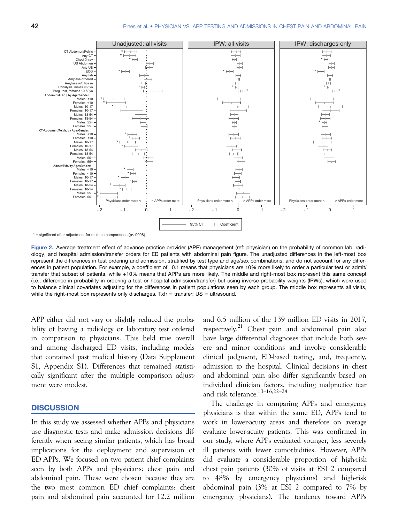

\* = significant after adjustment for multiple comparisons (p<.0008).

Figure 2. Average treatment effect of advance practice provider (APP) management (ref: physician) on the probability of common lab, radiology, and hospital admission/transfer orders for ED patients with abdominal pain figure. The unadjusted differences in the left-most box represent the differences in test ordering and admission, stratified by test type and age/sex combinations, and do not account for any differences in patient population. For example, a coefficient of –0.1 means that physicians are 10% more likely to order a particular test or admit/ transfer that subset of patients, while +10% means that APPs are more likely. The middle and right-most box represent this same concept (i.e., difference in probability in ordering a test or hospital admission/transfer) but using inverse probability weights (IPWs), which were used to balance clinical covariates adjusting for the differences in patient populations seen by each group. The middle box represents all visits, while the right-most box represents only discharges. Txfr = transfer;  $US =$  ultrasound.

APP either did not vary or slightly reduced the probability of having a radiology or laboratory test ordered in comparison to physicians. This held true overall and among discharged ED visits, including models that contained past medical history (Data Supplement S1, Appendix S1). Differences that remained statistically significant after the multiple comparison adjustment were modest.

## **DISCUSSION**

In this study we assessed whether APPs and physicians use diagnostic tests and make admission decisions differently when seeing similar patients, which has broad implications for the deployment and supervision of ED APPs. We focused on two patient chief complaints seen by both APPs and physicians: chest pain and abdominal pain. These were chosen because they are the two most common ED chief complaints: chest pain and abdominal pain accounted for 12.2 million

and 6.5 million of the 139 million ED visits in 2017, respectively.<sup>21</sup> Chest pain and abdominal pain also have large differential diagnoses that include both severe and minor conditions and involve considerable clinical judgment, ED-based testing, and, frequently, admission to the hospital. Clinical decisions in chest and abdominal pain also differ significantly based on individual clinician factors, including malpractice fear and risk tolerance.13–16,22–<sup>24</sup>

The challenge in comparing APPs and emergency physicians is that within the same ED, APPs tend to work in lower-acuity areas and therefore on average evaluate lower-acuity patients. This was confirmed in our study, where APPs evaluated younger, less severely ill patients with fewer comorbidities. However, APPs did evaluate a considerable proportion of high-risk chest pain patients (30% of visits at ESI 2 compared to 48% by emergency physicians) and high-risk abdominal pain (3% at ESI 2 compared to 7% by emergency physicians). The tendency toward APPs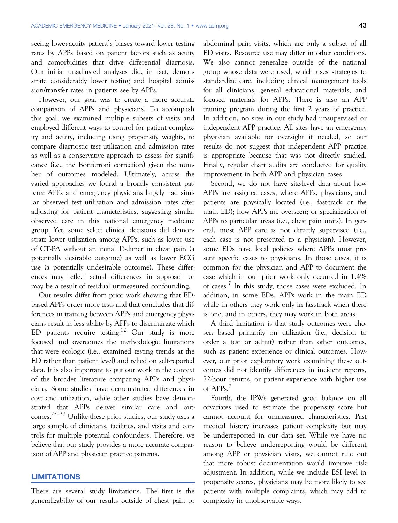seeing lower-acuity patient's biases toward lower testing rates by APPs based on patient factors such as acuity and comorbidities that drive differential diagnosis. Our initial unadjusted analyses did, in fact, demonstrate considerably lower testing and hospital admission/transfer rates in patients see by APPs.

However, our goal was to create a more accurate comparison of APPs and physicians. To accomplish this goal, we examined multiple subsets of visits and employed different ways to control for patient complexity and acuity, including using propensity weights, to compare diagnostic test utilization and admission rates as well as a conservative approach to assess for significance (i.e., the Bonferroni correction) given the number of outcomes modeled. Ultimately, across the varied approaches we found a broadly consistent pattern: APPs and emergency physicians largely had similar observed test utilization and admission rates after adjusting for patient characteristics, suggesting similar observed care in this national emergency medicine group. Yet, some select clinical decisions did demonstrate lower utilization among APPs, such as lower use of CT-PA without an initial D-dimer in chest pain (a potentially desirable outcome) as well as lower ECG use (a potentially undesirable outcome). These differences may reflect actual differences in approach or may be a result of residual unmeasured confounding.

Our results differ from prior work showing that EDbased APPs order more tests and that concludes that differences in training between APPs and emergency physicians result in less ability by APPs to discriminate which ED patients require testing.<sup>12</sup> Our study is more focused and overcomes the methodologic limitations that were ecologic (i.e., examined testing trends at the ED rather than patient level) and relied on self-reported data. It is also important to put our work in the context of the broader literature comparing APPs and physicians. Some studies have demonstrated differences in cost and utilization, while other studies have demonstrated that APPs deliver similar care and outcomes. <sup>25</sup>–<sup>27</sup> Unlike these prior studies, our study uses a large sample of clinicians, facilities, and visits and controls for multiple potential confounders. Therefore, we believe that our study provides a more accurate comparison of APP and physician practice patterns.

# LIMITATIONS

There are several study limitations. The first is the generalizability of our results outside of chest pain or abdominal pain visits, which are only a subset of all ED visits. Resource use may differ in other conditions. We also cannot generalize outside of the national group whose data were used, which uses strategies to standardize care, including clinical management tools for all clinicians, general educational materials, and focused materials for APPs. There is also an APP training program during the first 2 years of practice. In addition, no sites in our study had unsupervised or independent APP practice. All sites have an emergency physician available for oversight if needed, so our results do not suggest that independent APP practice is appropriate because that was not directly studied. Finally, regular chart audits are conducted for quality improvement in both APP and physician cases.

Second, we do not have site-level data about how APPs are assigned cases, where APPs, physicians, and patients are physically located (i.e., fast-track or the main ED); how APPs are overseen; or specialization of APPs to particular areas (i.e., chest pain units). In general, most APP care is not directly supervised (i.e., each case is not presented to a physician). However, some EDs have local policies where APPs must present specific cases to physicians. In those cases, it is common for the physician and APP to document the case which in our prior work only occurred in 1.4% of cases.<sup>7</sup> In this study, those cases were excluded. In addition, in some EDs, APPs work in the main ED while in others they work only in fast-track when there is one, and in others, they may work in both areas.

A third limitation is that study outcomes were chosen based primarily on utilization (i.e., decision to order a test or admit) rather than other outcomes, such as patient experience or clinical outcomes. However, our prior exploratory work examining these outcomes did not identify differences in incident reports, 72-hour returns, or patient experience with higher use of APPs.<sup>7</sup>

Fourth, the IPWs generated good balance on all covariates used to estimate the propensity score but cannot account for unmeasured characteristics. Past medical history increases patient complexity but may be underreported in our data set. While we have no reason to believe underreporting would be different among APP or physician visits, we cannot rule out that more robust documentation would improve risk adjustment. In addition, while we include ESI level in propensity scores, physicians may be more likely to see patients with multiple complaints, which may add to complexity in unobservable ways.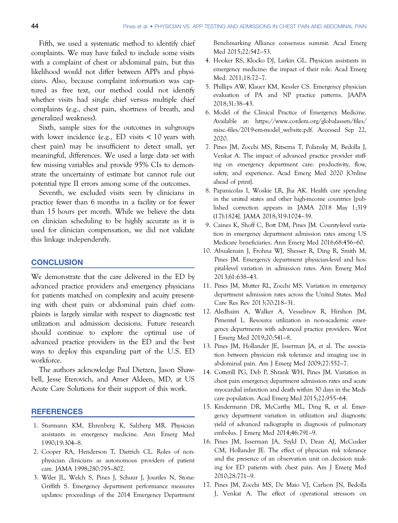Fifth, we used a systematic method to identify chief complaints. We may have failed to include some visits with a complaint of chest or abdominal pain, but this likelihood would not differ between APPs and physicians. Also, because complaint information was captured as free text, our method could not identify whether visits had single chief versus multiple chief complaints (e.g., chest pain, shortness of breath, and generalized weakness).

Sixth, sample sizes for the outcomes in subgroups with lower incidence (e.g., ED visits  $< 10$  years with chest pain) may be insufficient to detect small, yet meaningful, differences. We used a large data set with few missing variables and provide 95% CIs to demonstrate the uncertainty of estimate but cannot rule out potential type II errors among some of the outcomes.

Seventh, we excluded visits seen by clinicians in practice fewer than 6 months in a facility or for fewer than 15 hours per month. While we believe the data on clinician scheduling to be highly accurate as it is used for clinician compensation, we did not validate this linkage independently.

# **CONCLUSION**

We demonstrate that the care delivered in the ED by advanced practice providers and emergency physicians for patients matched on complexity and acuity presenting with chest pain or abdominal pain chief complaints is largely similar with respect to diagnostic test utilization and admission decisions. Future research should continue to explore the optimal use of advanced practice providers in the ED and the best ways to deploy this expanding part of the U.S. ED workforce.

The authors acknowledge Paul Dietzen, Jason Shawbell, Jesse Eterovich, and Amer Aldeen, MD, at US Acute Care Solutions for their support of this work.

# **REFERENCES**

- 1. Sturmann KM, Ehrenberg K, Salzberg MR. Physician assistants in emergency medicine. Ann Emerg Med 1990;19:304–8.
- 2. Cooper RA, Henderson T, Dietrich CL. Roles of nonphysician clinicians as autonomous providers of patient care. JAMA 1998;280:795–802.
- 3. Wiler JL, Welch S, Pines J, Schuur J, Jouriles N, Stone-Griffith S. Emergency department performance measures updates: proceedings of the 2014 Emergency Department

Benchmarking Alliance consensus summit. Acad Emerg Med 2015;22:542–53.

- 4. Hooker RS, Klocko DJ, Larkin GL. Physician assistants in emergency medicine: the impact of their role. Acad Emerg Med. 2011;18:72–7.
- 5. Phillips AW, Klauer KM, Kessler CS. Emergency physician evaluation of PA and NP practice patterns. JAAPA 2018;31:38–43.
- 6. Model of the Clinical Practice of Emergency Medicine. Available at: [https://www.cordem.org/globalassets/files/](https://www.cordem.org/globalassets/files/misc.-files/2019-em-model_website.pdf) [misc.-files/2019-em-model\\_website.pdf.](https://www.cordem.org/globalassets/files/misc.-files/2019-em-model_website.pdf) Accessed Sep 22, 2020.
- 7. Pines JM, Zocchi MS, Ritsema T, Polansky M, Bedolla J, Venkat A. The impact of advanced practice provider staffing on emergency department care: productivity, flow, safety, and experience. Acad Emerg Med 2020 [Online ahead of print].
- 8. Papanicolas I, Woskie LR, Jha AK. Health care spending in the united states and other high-income countries [published correction appears in JAMA 2018 May 1;319 (17):1824]. JAMA 2018;319:1024–39.
- 9. Caines K, Shoff C, Bott DM, Pines JM. County-level variation in emergency department admission rates among US Medicare beneficiaries. Ann Emerg Med 2016;68:456–60.
- 10. Abualenain J, Frohna WJ, Shesser R, Ding R, Smith M, Pines JM. Emergency department physician-level and hospital-level variation in admission rates. Ann Emerg Med 2013;61:638–43.
- 11. Pines JM, Mutter RL, Zocchi MS. Variation in emergency department admission rates across the United States. Med Care Res Rev 2013;70:218–31.
- 12. Aledhaim A, Walker A, Vesselinov R, Hirshon JM, Pimentel L. Resource utilization in non-academic emergency departments with advanced practice providers. West J Emerg Med 2019;20:541–8.
- 13. Pines JM, Hollander JE, Isserman JA, et al. The association between physician risk tolerance and imaging use in abdominal pain. Am J Emerg Med 2009;27:552–7.
- 14. Cotterill PG, Deb P, Shrank WH, Pines JM. Variation in chest pain emergency department admission rates and acute myocardial infarction and death within 30 days in the Medicare population. Acad Emerg Med 2015;22:955–64.
- 15. Kindermann DR, McCarthy ML, Ding R, et al. Emergency department variation in utilization and diagnostic yield of advanced radiography in diagnosis of pulmonary embolus. J Emerg Med 2014;46:791–9.
- 16. Pines JM, Isserman JA, Szyld D, Dean AJ, McCusker CM, Hollander JE. The effect of physician risk tolerance and the presence of an observation unit on decision making for ED patients with chest pain. Am J Emerg Med 2010;28:771–9.
- 17. Pines JM, Zocchi MS, De Maio VJ, Carlson JN, Bedolla J, Venkat A. The effect of operational stressors on